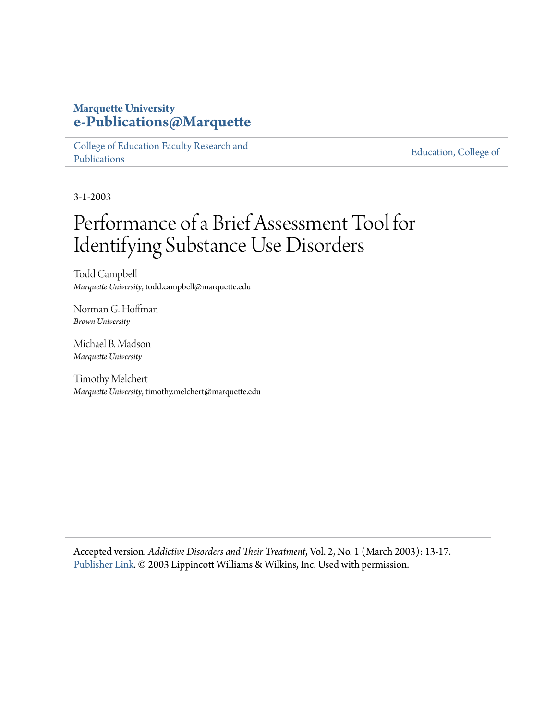#### **Marquette University [e-Publications@Marquette](https://epublications.marquette.edu)**

[College of Education Faculty Research and](https://epublications.marquette.edu/edu_fac) [Publications](https://epublications.marquette.edu/edu_fac)

[Education, College of](https://epublications.marquette.edu/education)

3-1-2003

## Performance of a Brief Assessment Tool for Identifying Substance Use Disorders

Todd Campbell *Marquette University*, todd.campbell@marquette.edu

Norman G. Hoffman *Brown University*

Michael B. Madson *Marquette University*

Timothy Melchert *Marquette University*, timothy.melchert@marquette.edu

Accepted version. *Addictive Disorders and Their Treatment*, Vol. 2, No. 1 (March 2003): 13-17. [Publisher Link](http://journals.lww.com/addictiondisorders/Abstract/2003/02010/Performance_of_a_Brief_Assessment_Tool_for.3.aspx). © 2003 Lippincott Williams & Wilkins, Inc. Used with permission.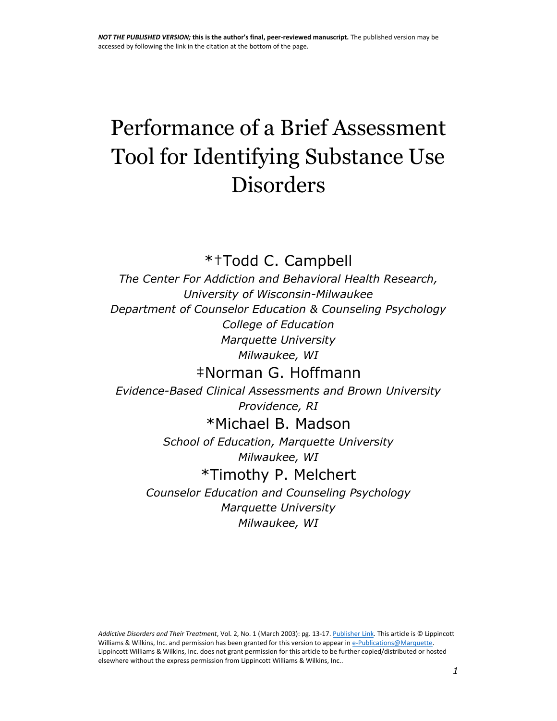# Performance of a Brief Assessment Tool for Identifying Substance Use Disorders

\*†Todd C. Campbell

*The Center For Addiction and Behavioral Health Research, University of Wisconsin-Milwaukee Department of Counselor Education & Counseling Psychology College of Education Marquette University Milwaukee, WI*

‡Norman G. Hoffmann

*Evidence-Based Clinical Assessments and Brown University Providence, RI*

\*Michael B. Madson

*School of Education, Marquette University Milwaukee, WI*

\*Timothy P. Melchert

*Counselor Education and Counseling Psychology Marquette University Milwaukee, WI*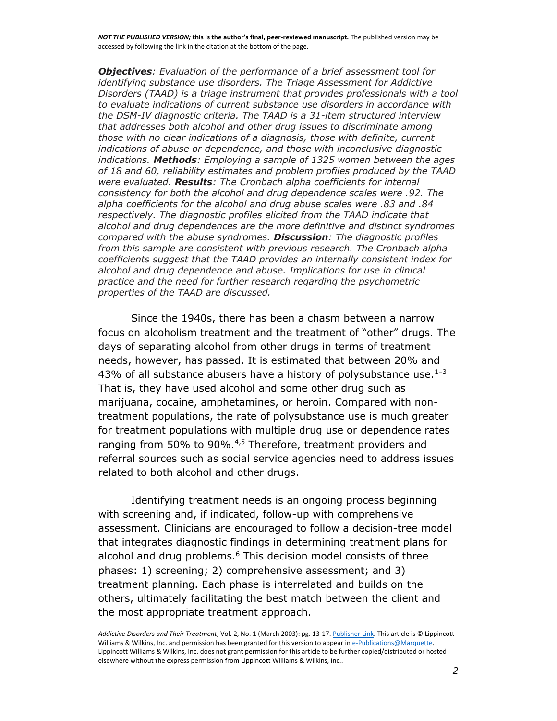*Objectives: Evaluation of the performance of a brief assessment tool for identifying substance use disorders. The Triage Assessment for Addictive Disorders (TAAD) is a triage instrument that provides professionals with a tool to evaluate indications of current substance use disorders in accordance with the DSM-IV diagnostic criteria. The TAAD is a 31-item structured interview that addresses both alcohol and other drug issues to discriminate among those with no clear indications of a diagnosis, those with definite, current indications of abuse or dependence, and those with inconclusive diagnostic indications. Methods: Employing a sample of 1325 women between the ages of 18 and 60, reliability estimates and problem profiles produced by the TAAD were evaluated. Results: The Cronbach alpha coefficients for internal consistency for both the alcohol and drug dependence scales were .92. The alpha coefficients for the alcohol and drug abuse scales were .83 and .84 respectively. The diagnostic profiles elicited from the TAAD indicate that alcohol and drug dependences are the more definitive and distinct syndromes compared with the abuse syndromes. Discussion: The diagnostic profiles from this sample are consistent with previous research. The Cronbach alpha coefficients suggest that the TAAD provides an internally consistent index for alcohol and drug dependence and abuse. Implications for use in clinical practice and the need for further research regarding the psychometric properties of the TAAD are discussed.* 

Since the 1940s, there has been a chasm between a narrow focus on alcoholism treatment and the treatment of "other" drugs. The days of separating alcohol from other drugs in terms of treatment needs, however, has passed. It is estimated that between 20% and 43% of all substance abusers have a history of polysubstance use. $1-3$ That is, they have used alcohol and some other drug such as marijuana, cocaine, amphetamines, or heroin. Compared with nontreatment populations, the rate of polysubstance use is much greater for treatment populations with multiple drug use or dependence rates ranging from 50% to 90%.<sup>4,5</sup> Therefore, treatment providers and referral sources such as social service agencies need to address issues related to both alcohol and other drugs.

Identifying treatment needs is an ongoing process beginning with screening and, if indicated, follow-up with comprehensive assessment. Clinicians are encouraged to follow a decision-tree model that integrates diagnostic findings in determining treatment plans for alcohol and drug problems.<sup>6</sup> This decision model consists of three phases: 1) screening; 2) comprehensive assessment; and 3) treatment planning. Each phase is interrelated and builds on the others, ultimately facilitating the best match between the client and the most appropriate treatment approach.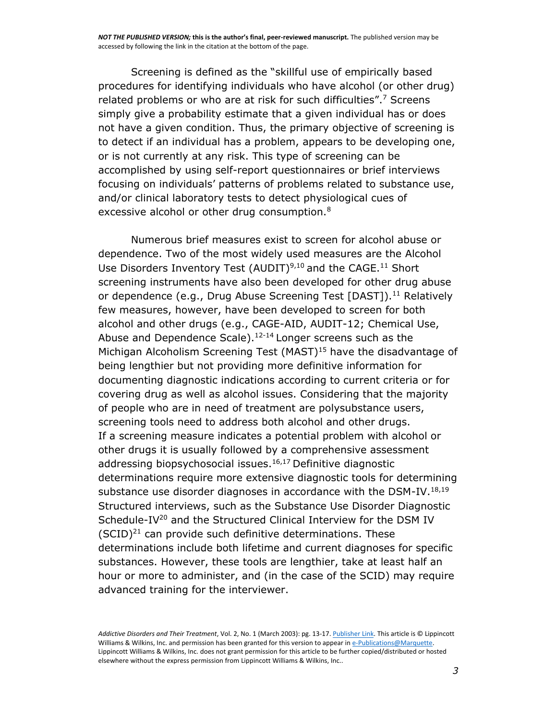Screening is defined as the "skillful use of empirically based procedures for identifying individuals who have alcohol (or other drug) related problems or who are at risk for such difficulties".<sup>7</sup> Screens simply give a probability estimate that a given individual has or does not have a given condition. Thus, the primary objective of screening is to detect if an individual has a problem, appears to be developing one, or is not currently at any risk. This type of screening can be accomplished by using self-report questionnaires or brief interviews focusing on individuals' patterns of problems related to substance use, and/or clinical laboratory tests to detect physiological cues of excessive alcohol or other drug consumption.<sup>8</sup>

Numerous brief measures exist to screen for alcohol abuse or dependence. Two of the most widely used measures are the Alcohol Use Disorders Inventory Test (AUDIT)<sup>9,10</sup> and the CAGE.<sup>11</sup> Short screening instruments have also been developed for other drug abuse or dependence (e.g., Drug Abuse Screening Test [DAST]).<sup>11</sup> Relatively few measures, however, have been developed to screen for both alcohol and other drugs (e.g., CAGE-AID, AUDIT-12; Chemical Use, Abuse and Dependence Scale).<sup>12-14</sup> Longer screens such as the Michigan Alcoholism Screening Test (MAST)<sup>15</sup> have the disadvantage of being lengthier but not providing more definitive information for documenting diagnostic indications according to current criteria or for covering drug as well as alcohol issues. Considering that the majority of people who are in need of treatment are polysubstance users, screening tools need to address both alcohol and other drugs. If a screening measure indicates a potential problem with alcohol or other drugs it is usually followed by a comprehensive assessment addressing biopsychosocial issues.<sup>16,17</sup> Definitive diagnostic determinations require more extensive diagnostic tools for determining substance use disorder diagnoses in accordance with the DSM-IV.<sup>18,19</sup> Structured interviews, such as the Substance Use Disorder Diagnostic Schedule-IV<sup>20</sup> and the Structured Clinical Interview for the DSM IV  $(SCID)^{21}$  can provide such definitive determinations. These determinations include both lifetime and current diagnoses for specific substances. However, these tools are lengthier, take at least half an hour or more to administer, and (in the case of the SCID) may require advanced training for the interviewer.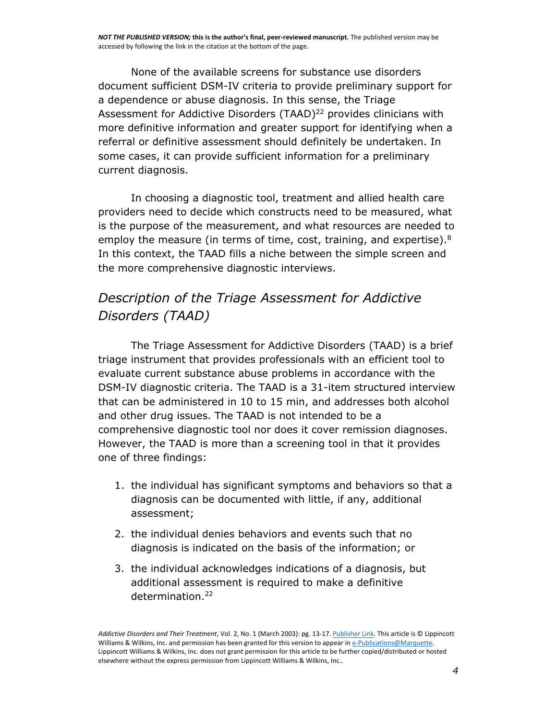None of the available screens for substance use disorders document sufficient DSM-IV criteria to provide preliminary support for a dependence or abuse diagnosis. In this sense, the Triage Assessment for Addictive Disorders (TAAD)<sup>22</sup> provides clinicians with more definitive information and greater support for identifying when a referral or definitive assessment should definitely be undertaken. In some cases, it can provide sufficient information for a preliminary current diagnosis.

In choosing a diagnostic tool, treatment and allied health care providers need to decide which constructs need to be measured, what is the purpose of the measurement, and what resources are needed to employ the measure (in terms of time, cost, training, and expertise).<sup>8</sup> In this context, the TAAD fills a niche between the simple screen and the more comprehensive diagnostic interviews.

## *Description of the Triage Assessment for Addictive Disorders (TAAD)*

The Triage Assessment for Addictive Disorders (TAAD) is a brief triage instrument that provides professionals with an efficient tool to evaluate current substance abuse problems in accordance with the DSM-IV diagnostic criteria. The TAAD is a 31-item structured interview that can be administered in 10 to 15 min, and addresses both alcohol and other drug issues. The TAAD is not intended to be a comprehensive diagnostic tool nor does it cover remission diagnoses. However, the TAAD is more than a screening tool in that it provides one of three findings:

- 1. the individual has significant symptoms and behaviors so that a diagnosis can be documented with little, if any, additional assessment;
- 2. the individual denies behaviors and events such that no diagnosis is indicated on the basis of the information; or
- 3. the individual acknowledges indications of a diagnosis, but additional assessment is required to make a definitive determination.22

*Addictive Disorders and Their Treatment*, Vol. 2, No. 1 (March 2003): pg. 13-17[. Publisher Link.](http://journals.lww.com/addictiondisorders/Abstract/2003/02010/Performance_of_a_Brief_Assessment_Tool_for.3.aspx) This article is © Lippincott Williams & Wilkins, Inc. and permission has been granted for this version to appear in e-Publications@Marquette. Lippincott Williams & Wilkins, Inc. does not grant permission for this article to be further copied/distributed or hosted elsewhere without the express permission from Lippincott Williams & Wilkins, Inc..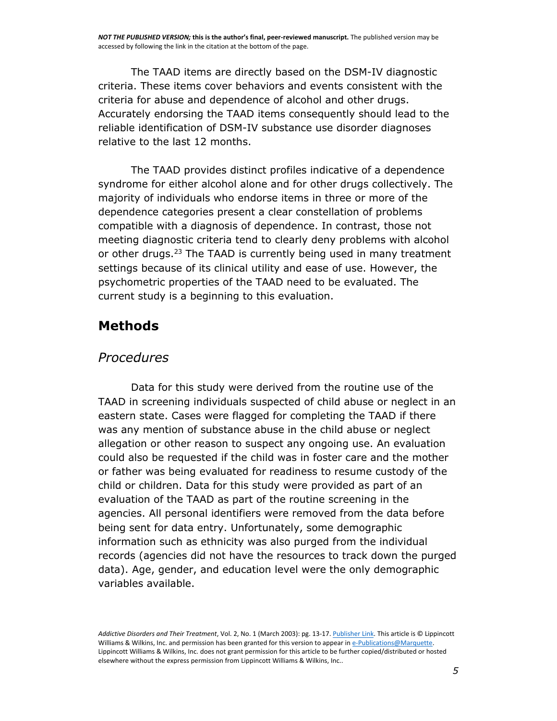The TAAD items are directly based on the DSM-IV diagnostic criteria. These items cover behaviors and events consistent with the criteria for abuse and dependence of alcohol and other drugs. Accurately endorsing the TAAD items consequently should lead to the reliable identification of DSM-IV substance use disorder diagnoses relative to the last 12 months.

The TAAD provides distinct profiles indicative of a dependence syndrome for either alcohol alone and for other drugs collectively. The majority of individuals who endorse items in three or more of the dependence categories present a clear constellation of problems compatible with a diagnosis of dependence. In contrast, those not meeting diagnostic criteria tend to clearly deny problems with alcohol or other drugs.<sup>23</sup> The TAAD is currently being used in many treatment settings because of its clinical utility and ease of use. However, the psychometric properties of the TAAD need to be evaluated. The current study is a beginning to this evaluation.

## **Methods**

#### *Procedures*

Data for this study were derived from the routine use of the TAAD in screening individuals suspected of child abuse or neglect in an eastern state. Cases were flagged for completing the TAAD if there was any mention of substance abuse in the child abuse or neglect allegation or other reason to suspect any ongoing use. An evaluation could also be requested if the child was in foster care and the mother or father was being evaluated for readiness to resume custody of the child or children. Data for this study were provided as part of an evaluation of the TAAD as part of the routine screening in the agencies. All personal identifiers were removed from the data before being sent for data entry. Unfortunately, some demographic information such as ethnicity was also purged from the individual records (agencies did not have the resources to track down the purged data). Age, gender, and education level were the only demographic variables available.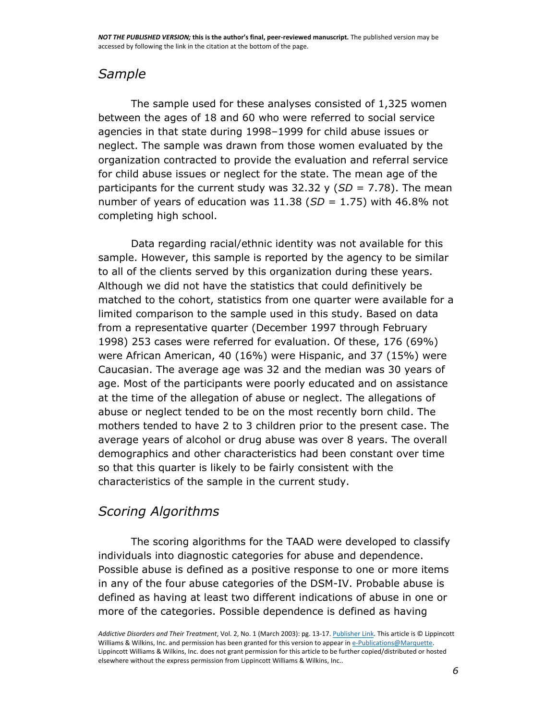## *Sample*

The sample used for these analyses consisted of 1,325 women between the ages of 18 and 60 who were referred to social service agencies in that state during 1998–1999 for child abuse issues or neglect. The sample was drawn from those women evaluated by the organization contracted to provide the evaluation and referral service for child abuse issues or neglect for the state. The mean age of the participants for the current study was 32.32 y (*SD* = 7.78). The mean number of years of education was 11.38 (*SD* = 1.75) with 46.8% not completing high school.

Data regarding racial/ethnic identity was not available for this sample. However, this sample is reported by the agency to be similar to all of the clients served by this organization during these years. Although we did not have the statistics that could definitively be matched to the cohort, statistics from one quarter were available for a limited comparison to the sample used in this study. Based on data from a representative quarter (December 1997 through February 1998) 253 cases were referred for evaluation. Of these, 176 (69%) were African American, 40 (16%) were Hispanic, and 37 (15%) were Caucasian. The average age was 32 and the median was 30 years of age. Most of the participants were poorly educated and on assistance at the time of the allegation of abuse or neglect. The allegations of abuse or neglect tended to be on the most recently born child. The mothers tended to have 2 to 3 children prior to the present case. The average years of alcohol or drug abuse was over 8 years. The overall demographics and other characteristics had been constant over time so that this quarter is likely to be fairly consistent with the characteristics of the sample in the current study.

## *Scoring Algorithms*

The scoring algorithms for the TAAD were developed to classify individuals into diagnostic categories for abuse and dependence. Possible abuse is defined as a positive response to one or more items in any of the four abuse categories of the DSM-IV. Probable abuse is defined as having at least two different indications of abuse in one or more of the categories. Possible dependence is defined as having

*Addictive Disorders and Their Treatment*, Vol. 2, No. 1 (March 2003): pg. 13-17[. Publisher Link.](http://journals.lww.com/addictiondisorders/Abstract/2003/02010/Performance_of_a_Brief_Assessment_Tool_for.3.aspx) This article is © Lippincott Williams & Wilkins, Inc. and permission has been granted for this version to appear in e-Publications@Marquette. Lippincott Williams & Wilkins, Inc. does not grant permission for this article to be further copied/distributed or hosted elsewhere without the express permission from Lippincott Williams & Wilkins, Inc..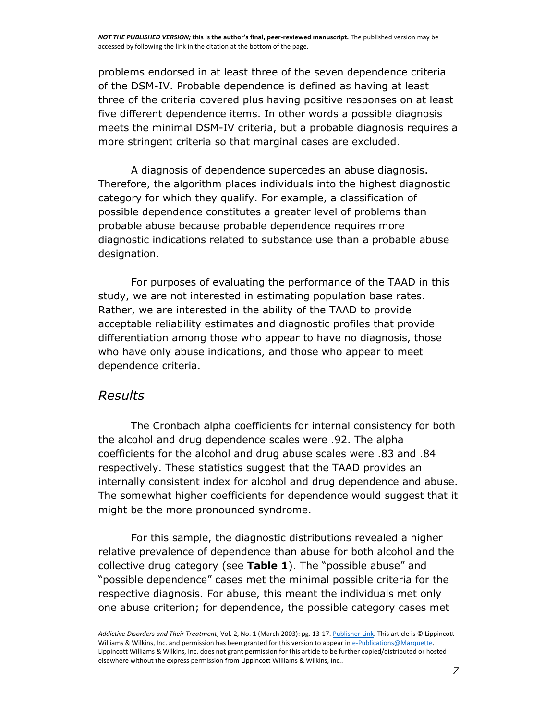problems endorsed in at least three of the seven dependence criteria of the DSM-IV. Probable dependence is defined as having at least three of the criteria covered plus having positive responses on at least five different dependence items. In other words a possible diagnosis meets the minimal DSM-IV criteria, but a probable diagnosis requires a more stringent criteria so that marginal cases are excluded.

A diagnosis of dependence supercedes an abuse diagnosis. Therefore, the algorithm places individuals into the highest diagnostic category for which they qualify. For example, a classification of possible dependence constitutes a greater level of problems than probable abuse because probable dependence requires more diagnostic indications related to substance use than a probable abuse designation.

For purposes of evaluating the performance of the TAAD in this study, we are not interested in estimating population base rates. Rather, we are interested in the ability of the TAAD to provide acceptable reliability estimates and diagnostic profiles that provide differentiation among those who appear to have no diagnosis, those who have only abuse indications, and those who appear to meet dependence criteria.

#### *Results*

The Cronbach alpha coefficients for internal consistency for both the alcohol and drug dependence scales were .92. The alpha coefficients for the alcohol and drug abuse scales were .83 and .84 respectively. These statistics suggest that the TAAD provides an internally consistent index for alcohol and drug dependence and abuse. The somewhat higher coefficients for dependence would suggest that it might be the more pronounced syndrome.

For this sample, the diagnostic distributions revealed a higher relative prevalence of dependence than abuse for both alcohol and the collective drug category (see **Table 1**). The "possible abuse" and "possible dependence" cases met the minimal possible criteria for the respective diagnosis. For abuse, this meant the individuals met only one abuse criterion; for dependence, the possible category cases met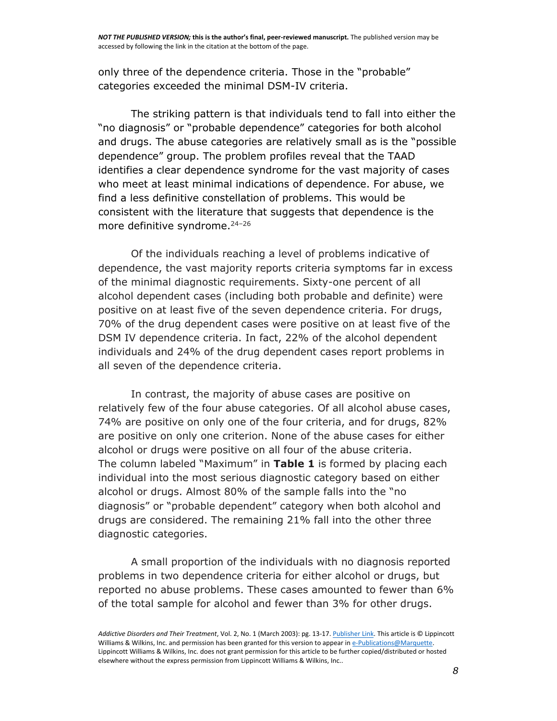only three of the dependence criteria. Those in the "probable" categories exceeded the minimal DSM-IV criteria.

The striking pattern is that individuals tend to fall into either the "no diagnosis" or "probable dependence" categories for both alcohol and drugs. The abuse categories are relatively small as is the "possible dependence" group. The problem profiles reveal that the TAAD identifies a clear dependence syndrome for the vast majority of cases who meet at least minimal indications of dependence. For abuse, we find a less definitive constellation of problems. This would be consistent with the literature that suggests that dependence is the more definitive syndrome.<sup>24-26</sup>

Of the individuals reaching a level of problems indicative of dependence, the vast majority reports criteria symptoms far in excess of the minimal diagnostic requirements. Sixty-one percent of all alcohol dependent cases (including both probable and definite) were positive on at least five of the seven dependence criteria. For drugs, 70% of the drug dependent cases were positive on at least five of the DSM IV dependence criteria. In fact, 22% of the alcohol dependent individuals and 24% of the drug dependent cases report problems in all seven of the dependence criteria.

In contrast, the majority of abuse cases are positive on relatively few of the four abuse categories. Of all alcohol abuse cases, 74% are positive on only one of the four criteria, and for drugs, 82% are positive on only one criterion. None of the abuse cases for either alcohol or drugs were positive on all four of the abuse criteria. The column labeled "Maximum" in **Table 1** is formed by placing each individual into the most serious diagnostic category based on either alcohol or drugs. Almost 80% of the sample falls into the "no diagnosis" or "probable dependent" category when both alcohol and drugs are considered. The remaining 21% fall into the other three diagnostic categories.

A small proportion of the individuals with no diagnosis reported problems in two dependence criteria for either alcohol or drugs, but reported no abuse problems. These cases amounted to fewer than 6% of the total sample for alcohol and fewer than 3% for other drugs.

*Addictive Disorders and Their Treatment*, Vol. 2, No. 1 (March 2003): pg. 13-17[. Publisher Link.](http://journals.lww.com/addictiondisorders/Abstract/2003/02010/Performance_of_a_Brief_Assessment_Tool_for.3.aspx) This article is © Lippincott Williams & Wilkins, Inc. and permission has been granted for this version to appear in e-Publications@Marquette. Lippincott Williams & Wilkins, Inc. does not grant permission for this article to be further copied/distributed or hosted elsewhere without the express permission from Lippincott Williams & Wilkins, Inc..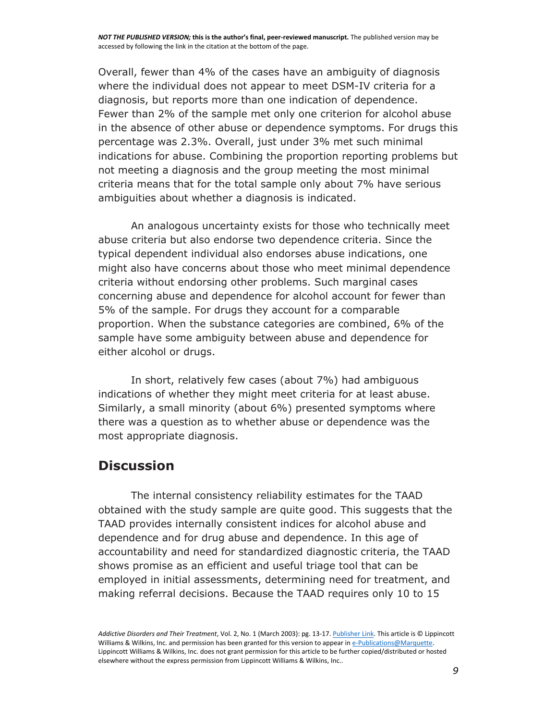Overall, fewer than 4% of the cases have an ambiguity of diagnosis where the individual does not appear to meet DSM-IV criteria for a diagnosis, but reports more than one indication of dependence. Fewer than 2% of the sample met only one criterion for alcohol abuse in the absence of other abuse or dependence symptoms. For drugs this percentage was 2.3%. Overall, just under 3% met such minimal indications for abuse. Combining the proportion reporting problems but not meeting a diagnosis and the group meeting the most minimal criteria means that for the total sample only about 7% have serious ambiguities about whether a diagnosis is indicated.

An analogous uncertainty exists for those who technically meet abuse criteria but also endorse two dependence criteria. Since the typical dependent individual also endorses abuse indications, one might also have concerns about those who meet minimal dependence criteria without endorsing other problems. Such marginal cases concerning abuse and dependence for alcohol account for fewer than 5% of the sample. For drugs they account for a comparable proportion. When the substance categories are combined, 6% of the sample have some ambiguity between abuse and dependence for either alcohol or drugs.

In short, relatively few cases (about 7%) had ambiguous indications of whether they might meet criteria for at least abuse. Similarly, a small minority (about 6%) presented symptoms where there was a question as to whether abuse or dependence was the most appropriate diagnosis.

#### **Discussion**

The internal consistency reliability estimates for the TAAD obtained with the study sample are quite good. This suggests that the TAAD provides internally consistent indices for alcohol abuse and dependence and for drug abuse and dependence. In this age of accountability and need for standardized diagnostic criteria, the TAAD shows promise as an efficient and useful triage tool that can be employed in initial assessments, determining need for treatment, and making referral decisions. Because the TAAD requires only 10 to 15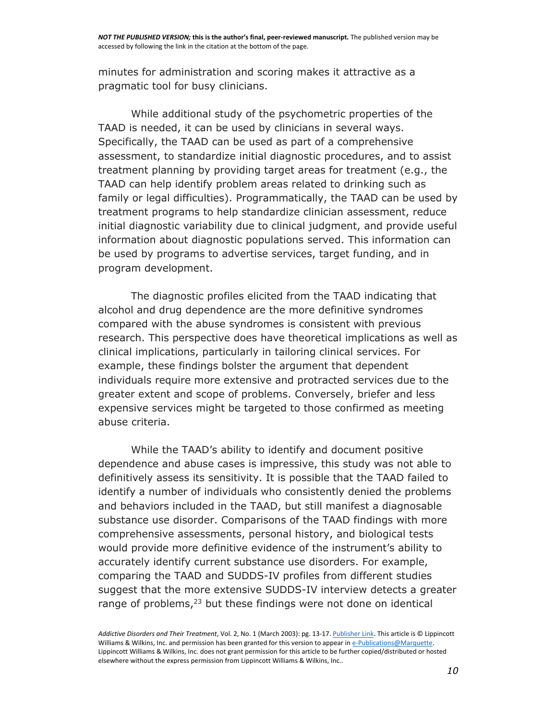minutes for administration and scoring makes it attractive as a pragmatic tool for busy clinicians.

While additional study of the psychometric properties of the TAAD is needed, it can be used by clinicians in several ways. Specifically, the TAAD can be used as part of a comprehensive assessment, to standardize initial diagnostic procedures, and to assist treatment planning by providing target areas for treatment (e.g., the TAAD can help identify problem areas related to drinking such as family or legal difficulties). Programmatically, the TAAD can be used by treatment programs to help standardize clinician assessment, reduce initial diagnostic variability due to clinical judgment, and provide useful information about diagnostic populations served. This information can be used by programs to advertise services, target funding, and in program development.

The diagnostic profiles elicited from the TAAD indicating that alcohol and drug dependence are the more definitive syndromes compared with the abuse syndromes is consistent with previous research. This perspective does have theoretical implications as well as clinical implications, particularly in tailoring clinical services. For example, these findings bolster the argument that dependent individuals require more extensive and protracted services due to the greater extent and scope of problems. Conversely, briefer and less expensive services might be targeted to those confirmed as meeting abuse criteria.

While the TAAD's ability to identify and document positive dependence and abuse cases is impressive, this study was not able to definitively assess its sensitivity. It is possible that the TAAD failed to identify a number of individuals who consistently denied the problems and behaviors included in the TAAD, but still manifest a diagnosable substance use disorder. Comparisons of the TAAD findings with more comprehensive assessments, personal history, and biological tests would provide more definitive evidence of the instrument's ability to accurately identify current substance use disorders. For example, comparing the TAAD and SUDDS-IV profiles from different studies suggest that the more extensive SUDDS-IV interview detects a greater range of problems, $^{23}$  but these findings were not done on identical

*Addictive Disorders and Their Treatment*, Vol. 2, No. 1 (March 2003): pg. 13-17[. Publisher Link.](http://journals.lww.com/addictiondisorders/Abstract/2003/02010/Performance_of_a_Brief_Assessment_Tool_for.3.aspx) This article is © Lippincott Williams & Wilkins, Inc. and permission has been granted for this version to appear in e-Publications@Marquette. Lippincott Williams & Wilkins, Inc. does not grant permission for this article to be further copied/distributed or hosted elsewhere without the express permission from Lippincott Williams & Wilkins, Inc..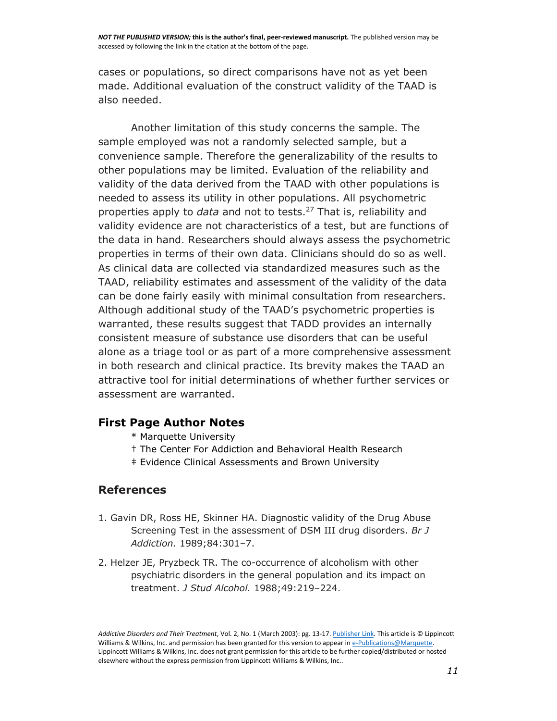cases or populations, so direct comparisons have not as yet been made. Additional evaluation of the construct validity of the TAAD is also needed.

Another limitation of this study concerns the sample. The sample employed was not a randomly selected sample, but a convenience sample. Therefore the generalizability of the results to other populations may be limited. Evaluation of the reliability and validity of the data derived from the TAAD with other populations is needed to assess its utility in other populations. All psychometric properties apply to *data* and not to tests.<sup>27</sup> That is, reliability and validity evidence are not characteristics of a test, but are functions of the data in hand. Researchers should always assess the psychometric properties in terms of their own data. Clinicians should do so as well. As clinical data are collected via standardized measures such as the TAAD, reliability estimates and assessment of the validity of the data can be done fairly easily with minimal consultation from researchers. Although additional study of the TAAD's psychometric properties is warranted, these results suggest that TADD provides an internally consistent measure of substance use disorders that can be useful alone as a triage tool or as part of a more comprehensive assessment in both research and clinical practice. Its brevity makes the TAAD an attractive tool for initial determinations of whether further services or assessment are warranted.

#### **First Page Author Notes**

- \* Marquette University
- † The Center For Addiction and Behavioral Health Research
- ‡ Evidence Clinical Assessments and Brown University

#### **References**

- 1. Gavin DR, Ross HE, Skinner HA. Diagnostic validity of the Drug Abuse Screening Test in the assessment of DSM III drug disorders. *Br J Addiction.* 1989;84:301–7.
- 2. Helzer JE, Pryzbeck TR. The co-occurrence of alcoholism with other psychiatric disorders in the general population and its impact on treatment. *J Stud Alcohol.* 1988;49:219–224.

*Addictive Disorders and Their Treatment*, Vol. 2, No. 1 (March 2003): pg. 13-17[. Publisher Link.](http://journals.lww.com/addictiondisorders/Abstract/2003/02010/Performance_of_a_Brief_Assessment_Tool_for.3.aspx) This article is © Lippincott Williams & Wilkins, Inc. and permission has been granted for this version to appear in e-Publications@Marquette. Lippincott Williams & Wilkins, Inc. does not grant permission for this article to be further copied/distributed or hosted elsewhere without the express permission from Lippincott Williams & Wilkins, Inc..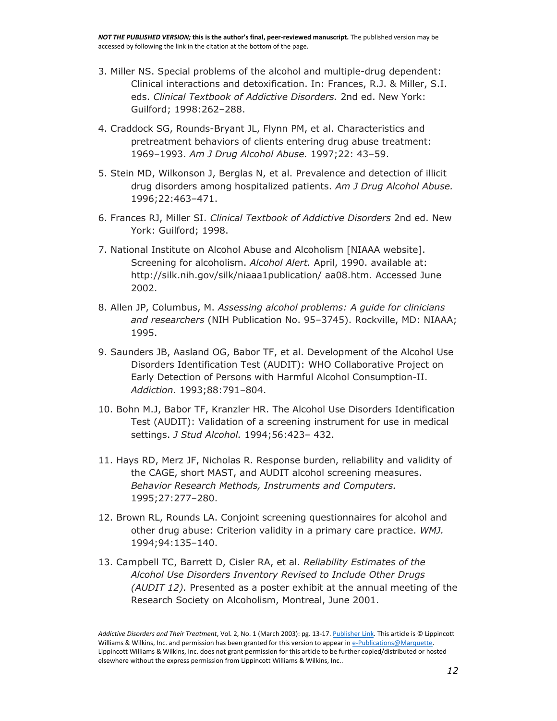- 3. Miller NS. Special problems of the alcohol and multiple-drug dependent: Clinical interactions and detoxification. In: Frances, R.J. & Miller, S.I. eds. *Clinical Textbook of Addictive Disorders.* 2nd ed. New York: Guilford; 1998:262–288.
- 4. Craddock SG, Rounds-Bryant JL, Flynn PM, et al. Characteristics and pretreatment behaviors of clients entering drug abuse treatment: 1969–1993. *Am J Drug Alcohol Abuse.* 1997;22: 43–59.
- 5. Stein MD, Wilkonson J, Berglas N, et al. Prevalence and detection of illicit drug disorders among hospitalized patients. *Am J Drug Alcohol Abuse.*  1996;22:463–471.
- 6. Frances RJ, Miller SI. *Clinical Textbook of Addictive Disorders* 2nd ed. New York: Guilford; 1998.
- 7. National Institute on Alcohol Abuse and Alcoholism [NIAAA website]. Screening for alcoholism. *Alcohol Alert.* April, 1990. available at: http://silk.nih.gov/silk/niaaa1publication/ aa08.htm. Accessed June 2002.
- 8. Allen JP, Columbus, M. *Assessing alcohol problems: A guide for clinicians and researchers* (NIH Publication No. 95–3745). Rockville, MD: NIAAA; 1995.
- 9. Saunders JB, Aasland OG, Babor TF, et al. Development of the Alcohol Use Disorders Identification Test (AUDIT): WHO Collaborative Project on Early Detection of Persons with Harmful Alcohol Consumption-II. *Addiction.* 1993;88:791–804.
- 10. Bohn M.J, Babor TF, Kranzler HR. The Alcohol Use Disorders Identification Test (AUDIT): Validation of a screening instrument for use in medical settings. *J Stud Alcohol.* 1994;56:423– 432.
- 11. Hays RD, Merz JF, Nicholas R. Response burden, reliability and validity of the CAGE, short MAST, and AUDIT alcohol screening measures. *Behavior Research Methods, Instruments and Computers.*  1995;27:277–280.
- 12. Brown RL, Rounds LA. Conjoint screening questionnaires for alcohol and other drug abuse: Criterion validity in a primary care practice. *WMJ.*  1994;94:135–140.
- 13. Campbell TC, Barrett D, Cisler RA, et al. *Reliability Estimates of the Alcohol Use Disorders Inventory Revised to Include Other Drugs (AUDIT 12).* Presented as a poster exhibit at the annual meeting of the Research Society on Alcoholism, Montreal, June 2001.

*Addictive Disorders and Their Treatment*, Vol. 2, No. 1 (March 2003): pg. 13-17[. Publisher Link.](http://journals.lww.com/addictiondisorders/Abstract/2003/02010/Performance_of_a_Brief_Assessment_Tool_for.3.aspx) This article is © Lippincott Williams & Wilkins, Inc. and permission has been granted for this version to appear in e-Publications@Marquette. Lippincott Williams & Wilkins, Inc. does not grant permission for this article to be further copied/distributed or hosted elsewhere without the express permission from Lippincott Williams & Wilkins, Inc..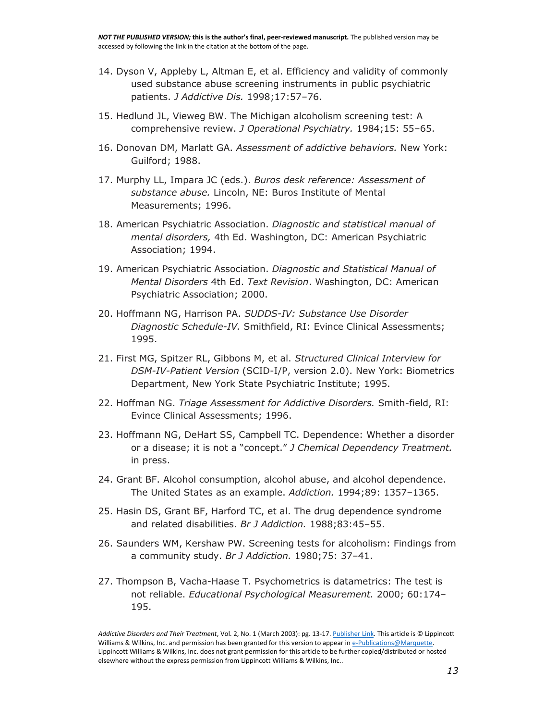- 14. Dyson V, Appleby L, Altman E, et al. Efficiency and validity of commonly used substance abuse screening instruments in public psychiatric patients. *J Addictive Dis.* 1998;17:57–76.
- 15. Hedlund JL, Vieweg BW. The Michigan alcoholism screening test: A comprehensive review. *J Operational Psychiatry.* 1984;15: 55–65.
- 16. Donovan DM, Marlatt GA. *Assessment of addictive behaviors.* New York: Guilford; 1988.
- 17. Murphy LL, Impara JC (eds.). *Buros desk reference: Assessment of substance abuse.* Lincoln, NE: Buros Institute of Mental Measurements; 1996.
- 18. American Psychiatric Association. *Diagnostic and statistical manual of mental disorders,* 4th Ed. Washington, DC: American Psychiatric Association; 1994.
- 19. American Psychiatric Association. *Diagnostic and Statistical Manual of Mental Disorders* 4th Ed. *Text Revision*. Washington, DC: American Psychiatric Association; 2000.
- 20. Hoffmann NG, Harrison PA. *SUDDS-IV: Substance Use Disorder Diagnostic Schedule-IV.* Smithfield, RI: Evince Clinical Assessments; 1995.
- 21. First MG, Spitzer RL, Gibbons M, et al. *Structured Clinical Interview for DSM-IV-Patient Version* (SCID-I/P, version 2.0). New York: Biometrics Department, New York State Psychiatric Institute; 1995.
- 22. Hoffman NG. *Triage Assessment for Addictive Disorders.* Smith-field, RI: Evince Clinical Assessments; 1996.
- 23. Hoffmann NG, DeHart SS, Campbell TC. Dependence: Whether a disorder or a disease; it is not a "concept." *J Chemical Dependency Treatment.*  in press.
- 24. Grant BF. Alcohol consumption, alcohol abuse, and alcohol dependence. The United States as an example. *Addiction.* 1994;89: 1357–1365.
- 25. Hasin DS, Grant BF, Harford TC, et al. The drug dependence syndrome and related disabilities. *Br J Addiction.* 1988;83:45–55.
- 26. Saunders WM, Kershaw PW. Screening tests for alcoholism: Findings from a community study. *Br J Addiction.* 1980;75: 37–41.
- 27. Thompson B, Vacha-Haase T. Psychometrics is datametrics: The test is not reliable. *Educational Psychological Measurement.* 2000; 60:174– 195.

*Addictive Disorders and Their Treatment*, Vol. 2, No. 1 (March 2003): pg. 13-17[. Publisher Link.](http://journals.lww.com/addictiondisorders/Abstract/2003/02010/Performance_of_a_Brief_Assessment_Tool_for.3.aspx) This article is © Lippincott Williams & Wilkins, Inc. and permission has been granted for this version to appear in e-Publications@Marquette. Lippincott Williams & Wilkins, Inc. does not grant permission for this article to be further copied/distributed or hosted elsewhere without the express permission from Lippincott Williams & Wilkins, Inc..